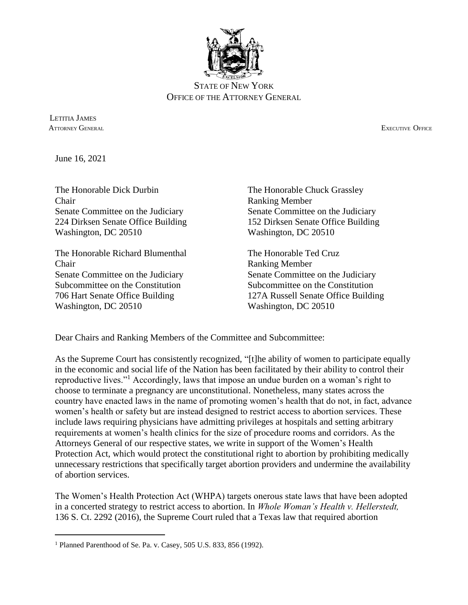

STATE OF NEW YORK OFFICE OF THE ATTORNEY GENERAL

 LETITIA JAMES ATTORNEY GENERAL EXECUTIVE OFFICE

June 16, 2021

 $\overline{\phantom{a}}$ 

The Honorable Dick Durbin The Honorable Chuck Grassley Chair Ranking Member Senate Committee on the Judiciary Senate Committee on the Judiciary 224 Dirksen Senate Office Building 152 Dirksen Senate Office Building Washington, DC 20510 Washington, DC 20510

The Honorable Richard Blumenthal The Honorable Ted Cruz Chair Ranking Member Senate Committee on the Judiciary Senate Committee on the Judiciary Subcommittee on the Constitution Subcommittee on the Constitution Washington, DC 20510 Washington, DC 20510

706 Hart Senate Office Building 127A Russell Senate Office Building

Dear Chairs and Ranking Members of the Committee and Subcommittee:

As the Supreme Court has consistently recognized, "[t]he ability of women to participate equally in the economic and social life of the Nation has been facilitated by their ability to control their reproductive lives."<sup>1</sup> Accordingly, laws that impose an undue burden on a woman's right to choose to terminate a pregnancy are unconstitutional. Nonetheless, many states across the country have enacted laws in the name of promoting women's health that do not, in fact, advance women's health or safety but are instead designed to restrict access to abortion services. These include laws requiring physicians have admitting privileges at hospitals and setting arbitrary requirements at women's health clinics for the size of procedure rooms and corridors. As the Attorneys General of our respective states, we write in support of the Women's Health Protection Act, which would protect the constitutional right to abortion by prohibiting medically unnecessary restrictions that specifically target abortion providers and undermine the availability of abortion services.

The Women's Health Protection Act (WHPA) targets onerous state laws that have been adopted in a concerted strategy to restrict access to abortion. In *Whole Woman's Health v. Hellerstedt,*  136 S. Ct. 2292 (2016), the Supreme Court ruled that a Texas law that required abortion

<sup>1</sup> Planned Parenthood of Se. Pa. v. Casey, 505 U.S. 833, 856 (1992).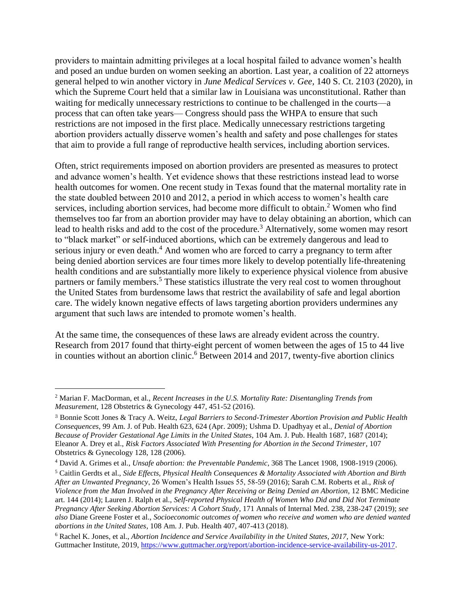providers to maintain admitting privileges at a local hospital failed to advance women's health and posed an undue burden on women seeking an abortion. Last year, a coalition of 22 attorneys general helped to win another victory in *June Medical Services v. Gee,* 140 S. Ct. 2103 (2020), in which the Supreme Court held that a similar law in Louisiana was unconstitutional. Rather than waiting for medically unnecessary restrictions to continue to be challenged in the courts—a process that can often take years— Congress should pass the WHPA to ensure that such restrictions are not imposed in the first place. Medically unnecessary restrictions targeting abortion providers actually disserve women's health and safety and pose challenges for states that aim to provide a full range of reproductive health services, including abortion services.

Often, strict requirements imposed on abortion providers are presented as measures to protect and advance women's health. Yet evidence shows that these restrictions instead lead to worse health outcomes for women. One recent study in Texas found that the maternal mortality rate in the state doubled between 2010 and 2012, a period in which access to women's health care services, including abortion services, had become more difficult to obtain.<sup>2</sup> Women who find themselves too far from an abortion provider may have to delay obtaining an abortion, which can lead to health risks and add to the cost of the procedure.<sup>3</sup> Alternatively, some women may resort to "black market" or self-induced abortions, which can be extremely dangerous and lead to serious injury or even death.<sup>4</sup> And women who are forced to carry a pregnancy to term after being denied abortion services are four times more likely to develop potentially life-threatening health conditions and are substantially more likely to experience physical violence from abusive partners or family members.<sup>5</sup> These statistics illustrate the very real cost to women throughout the United States from burdensome laws that restrict the availability of safe and legal abortion care. The widely known negative effects of laws targeting abortion providers undermines any argument that such laws are intended to promote women's health.

At the same time, the consequences of these laws are already evident across the country. Research from 2017 found that thirty-eight percent of women between the ages of 15 to 44 live in counties without an abortion clinic.<sup>6</sup> Between 2014 and 2017, twenty-five abortion clinics

 $\overline{a}$ 

<sup>2</sup> Marian F. MacDorman, et al., *Recent Increases in the U.S. Mortality Rate: Disentangling Trends from Measurement*, 128 Obstetrics & Gynecology 447, 451-52 (2016).

<sup>3</sup> Bonnie Scott Jones & Tracy A. Weitz, *Legal Barriers to Second-Trimester Abortion Provision and Public Health Consequences*, 99 Am. J. of Pub. Health 623, 624 (Apr. 2009); Ushma D. Upadhyay et al., *Denial of Abortion Because of Provider Gestational Age Limits in the United States*, 104 Am. J. Pub. Health 1687, 1687 (2014); Eleanor A. Drey et al., *Risk Factors Associated With Presenting for Abortion in the Second Trimester*, 107 Obstetrics & Gynecology 128, 128 (2006).

<sup>4</sup> David A. Grimes et al., *Unsafe abortion: the Preventable Pandemic*, 368 The Lancet 1908, 1908-1919 (2006).

<sup>5</sup> Caitlin Gerdts et al., *Side Effects, Physical Health Consequences & Mortality Associated with Abortion and Birth After an Unwanted Pregnancy*, 26 Women's Health Issues 55, 58-59 (2016); Sarah C.M. Roberts et al., *Risk of Violence from the Man Involved in the Pregnancy After Receiving or Being Denied an Abortion*, 12 BMC Medicine art. 144 (2014); Lauren J. Ralph et al., *Self-reported Physical Health of Women Who Did and Did Not Terminate Pregnancy After Seeking Abortion Services: A Cohort Study*, 171 Annals of Internal Med. 238, 238-247 (2019); *see also* Diane Greene Foster et al., *Socioeconomic outcomes of women who receive and women who are denied wanted abortions in the United States*, 108 Am. J. Pub. Health 407, 407-413 (2018).

<sup>6</sup> Rachel K. Jones, et al., *Abortion Incidence and Service Availability in the United States, 2017,* New York: Guttmacher Institute, 2019, [https://www.guttmacher.org/report/abortion-incidence-service-availability-us-2017.](https://www.guttmacher.org/report/abortion-incidence-service-availability-us-2017)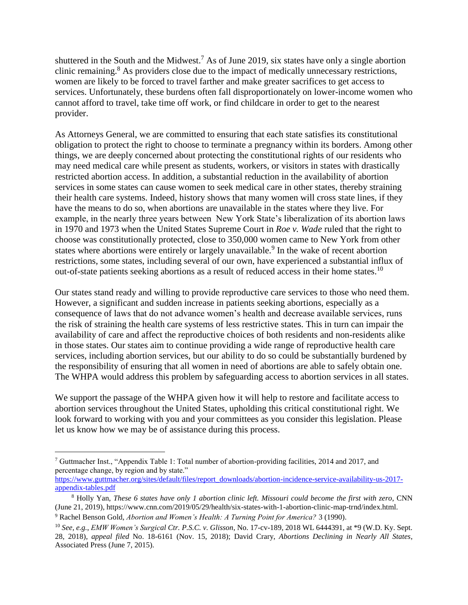shuttered in the South and the Midwest.<sup>7</sup> As of June 2019, six states have only a single abortion clinic remaining.<sup>8</sup> As providers close due to the impact of medically unnecessary restrictions, women are likely to be forced to travel farther and make greater sacrifices to get access to services. Unfortunately, these burdens often fall disproportionately on lower-income women who cannot afford to travel, take time off work, or find childcare in order to get to the nearest provider.

As Attorneys General, we are committed to ensuring that each state satisfies its constitutional obligation to protect the right to choose to terminate a pregnancy within its borders. Among other things, we are deeply concerned about protecting the constitutional rights of our residents who may need medical care while present as students, workers, or visitors in states with drastically restricted abortion access. In addition, a substantial reduction in the availability of abortion services in some states can cause women to seek medical care in other states, thereby straining their health care systems. Indeed, history shows that many women will cross state lines, if they have the means to do so, when abortions are unavailable in the states where they live. For example, in the nearly three years between New York State's liberalization of its abortion laws in 1970 and 1973 when the United States Supreme Court in *Roe v. Wade* ruled that the right to choose was constitutionally protected, close to 350,000 women came to New York from other states where abortions were entirely or largely unavailable.<sup>9</sup> In the wake of recent abortion restrictions, some states, including several of our own, have experienced a substantial influx of out-of-state patients seeking abortions as a result of reduced access in their home states.<sup>10</sup>

Our states stand ready and willing to provide reproductive care services to those who need them. However, a significant and sudden increase in patients seeking abortions, especially as a consequence of laws that do not advance women's health and decrease available services, runs the risk of straining the health care systems of less restrictive states. This in turn can impair the availability of care and affect the reproductive choices of both residents and non-residents alike in those states. Our states aim to continue providing a wide range of reproductive health care services, including abortion services, but our ability to do so could be substantially burdened by the responsibility of ensuring that all women in need of abortions are able to safely obtain one. The WHPA would address this problem by safeguarding access to abortion services in all states.

We support the passage of the WHPA given how it will help to restore and facilitate access to abortion services throughout the United States, upholding this critical constitutional right. We look forward to working with you and your committees as you consider this legislation. Please let us know how we may be of assistance during this process.

 $\overline{\phantom{a}}$ 

<sup>7</sup> Guttmacher Inst., "Appendix Table 1: Total number of abortion-providing facilities, 2014 and 2017, and percentage change, by region and by state."

[https://www.guttmacher.org/sites/default/files/report\\_downloads/abortion-incidence-service-availability-us-2017](https://www.guttmacher.org/sites/default/files/report_downloads/abortion-incidence-service-availability-us-2017-appendix-tables.pdf) [appendix-tables.pdf](https://www.guttmacher.org/sites/default/files/report_downloads/abortion-incidence-service-availability-us-2017-appendix-tables.pdf)

<sup>8</sup> Holly Yan, *These 6 states have only 1 abortion clinic left. Missouri could become the first with zero*, CNN (June 21, 2019), https://www.cnn.com/2019/05/29/health/six-states-with-1-abortion-clinic-map-trnd/index.html. <sup>9</sup> Rachel Benson Gold, *Abortion and Women's Health: A Turning Point for America?* 3 (1990).

<sup>10</sup> *See, e.g.*, *EMW Women's Surgical Ctr. P.S.C. v. Glisson*, No. 17-cv-189, 2018 WL 6444391, at \*9 (W.D. Ky. Sept. 28, 2018), *appeal filed* No. 18-6161 (Nov. 15, 2018); David Crary, *Abortions Declining in Nearly All States*, Associated Press (June 7, 2015).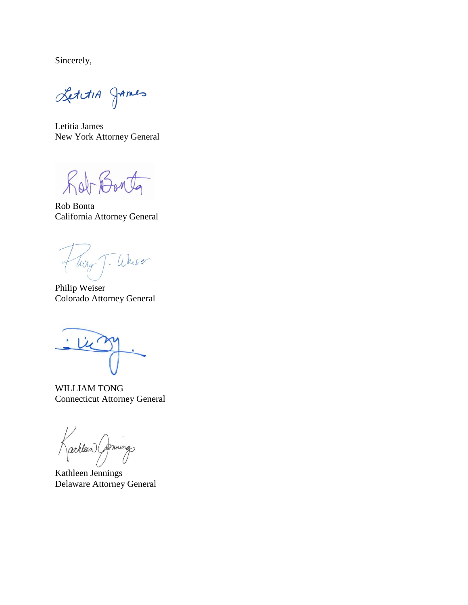Sincerely,

LettiA James

Letitia James New York Attorney General

Rob Bonta

Rob Bonta California Attorney General

Tiery J. Weiser

Philip Weiser Colorado Attorney General

 $\dot{ }$ 

WILLIAM TONG Connecticut Attorney General

athleen Gernings

Kathleen Jennings Delaware Attorney General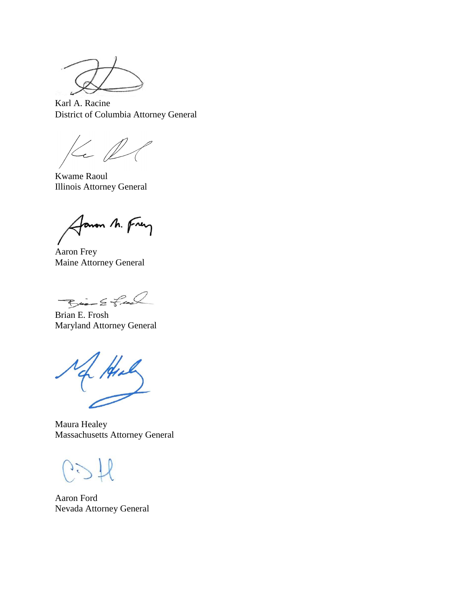Karl A. Racine District of Columbia Attorney General

 $Kel$ 

Kwame Raoul Illinois Attorney General

Janon M. Frey

Aaron Frey Maine Attorney General

Bio Effect

Brian E. Frosh Maryland Attorney General

of Hill

Maura Healey Massachusetts Attorney General

 $1<sup>2</sup>$ 

Aaron Ford Nevada Attorney General